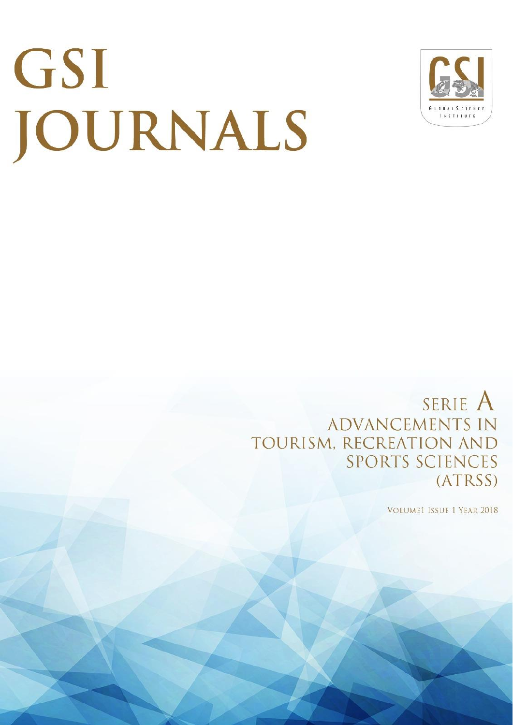# GSI JOURNALS



SERIE A **ADVANCEMENTS IN** TOURISM, RECREATION AND **SPORTS SCIENCES** (ATRSS)

**VOLUME1 ISSUE 1 YEAR 2018**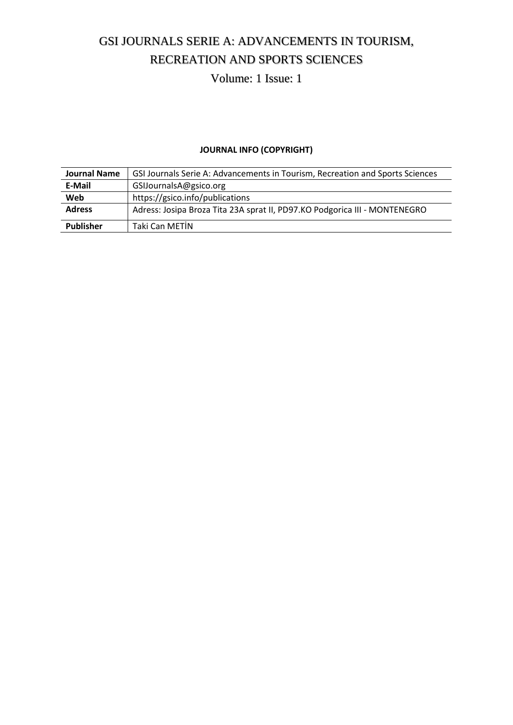# GSI JOURNALS SERIE A: ADVANCEMENTS IN TOURISM, RECREATION AND SPORTS SCIENCES

Volume: 1 Issue: 1

## **JOURNAL INFO (COPYRIGHT)**

| <b>Journal Name</b> | GSI Journals Serie A: Advancements in Tourism, Recreation and Sports Sciences |
|---------------------|-------------------------------------------------------------------------------|
| E-Mail              | GSIJournalsA@gsico.org                                                        |
| Web                 | https://gsico.info/publications                                               |
| <b>Adress</b>       | Adress: Josipa Broza Tita 23A sprat II, PD97.KO Podgorica III - MONTENEGRO    |
| <b>Publisher</b>    | Taki Can METIN                                                                |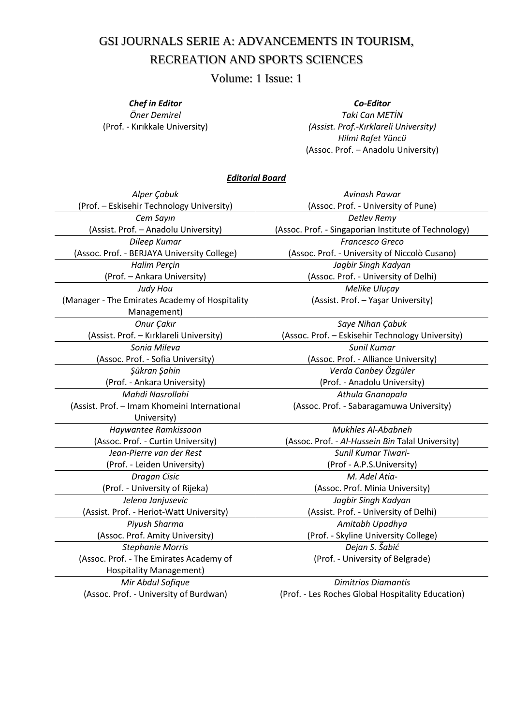## GSI JOURNALS SERIE A: ADVANCEMENTS IN TOURISM, RECREATION AND SPORTS SCIENCES

Volume: 1 Issue: 1

#### *Chef in Editor*

*Öner Demirel* (Prof. - Kırıkkale University)

#### *Co-Editor*

*Taki Can METİN (Assist. Prof.-Kırklareli University) Hilmi Rafet Yüncü* (Assoc. Prof. – Anadolu University)

#### *Editorial Board*

| Alper Çabuk                                    | Avinash Pawar                                        |  |
|------------------------------------------------|------------------------------------------------------|--|
| (Prof. - Eskisehir Technology University)      | (Assoc. Prof. - University of Pune)                  |  |
| Cem Sayın                                      | Detlev Remy                                          |  |
| (Assist. Prof. - Anadolu University)           | (Assoc. Prof. - Singaporian Institute of Technology) |  |
| Dileep Kumar                                   | Francesco Greco                                      |  |
| (Assoc. Prof. - BERJAYA University College)    | (Assoc. Prof. - University of Niccolò Cusano)        |  |
| Halim Perçin                                   | Jagbir Singh Kadyan                                  |  |
| (Prof. - Ankara University)                    | (Assoc. Prof. - University of Delhi)                 |  |
| Judy Hou                                       | Melike Uluçay                                        |  |
| (Manager - The Emirates Academy of Hospitality | (Assist. Prof. - Yaşar University)                   |  |
| Management)                                    |                                                      |  |
| Onur Çakır                                     | Saye Nihan Çabuk                                     |  |
| (Assist. Prof. - Kırklareli University)        | (Assoc. Prof. - Eskisehir Technology University)     |  |
| Sonia Mileva                                   | Sunil Kumar                                          |  |
| (Assoc. Prof. - Sofia University)              | (Assoc. Prof. - Alliance University)                 |  |
| Şükran Şahin                                   | Verda Canbey Özgüler                                 |  |
| (Prof. - Ankara University)                    | (Prof. - Anadolu University)                         |  |
| Mahdi Nasrollahi                               | Athula Gnanapala                                     |  |
| (Assist. Prof. - Imam Khomeini International   | (Assoc. Prof. - Sabaragamuwa University)             |  |
| University)                                    |                                                      |  |
| Haywantee Ramkissoon                           | Mukhles Al-Ababneh                                   |  |
| (Assoc. Prof. - Curtin University)             | (Assoc. Prof. - Al-Hussein Bin Talal University)     |  |
| Jean-Pierre van der Rest                       | <b>Sunil Kumar Tiwari-</b>                           |  |
| (Prof. - Leiden University)                    | (Prof - A.P.S.University)                            |  |
| Dragan Cisic                                   | M. Adel Atia-                                        |  |
| (Prof. - University of Rijeka)                 | (Assoc. Prof. Minia University)                      |  |
| Jelena Janjusevic                              | Jagbir Singh Kadyan                                  |  |
| (Assist. Prof. - Heriot-Watt University)       | (Assist. Prof. - University of Delhi)                |  |
| Piyush Sharma                                  | Amitabh Upadhya                                      |  |
| (Assoc. Prof. Amity University)                | (Prof. - Skyline University College)                 |  |
| <b>Stephanie Morris</b>                        | Dejan S. Šabić                                       |  |
| (Assoc. Prof. - The Emirates Academy of        | (Prof. - University of Belgrade)                     |  |
| <b>Hospitality Management)</b>                 |                                                      |  |
| Mir Abdul Sofique                              | <b>Dimitrios Diamantis</b>                           |  |
| (Assoc. Prof. - University of Burdwan)         | (Prof. - Les Roches Global Hospitality Education)    |  |